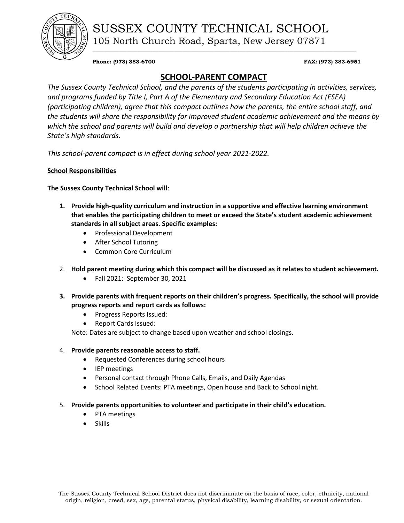

SUSSEX COUNTY TECHNICAL SCHOOL 105 North Church Road, Sparta, New Jersey 07871

**Phone: (973) 383-6700 FAX: (973) 383-6951** 

# **SCHOOL-PARENT COMPACT**

\_\_\_\_\_\_\_\_\_\_\_\_\_\_\_\_\_\_\_\_\_\_\_\_\_\_\_\_\_\_\_\_\_\_\_\_\_\_\_\_\_\_\_\_\_\_\_\_\_\_\_\_\_\_\_\_\_\_\_\_\_\_\_\_\_\_\_\_\_\_\_\_\_\_\_\_\_\_\_\_\_\_\_\_\_\_\_\_\_\_\_\_\_\_\_\_\_\_\_\_

*The Sussex County Technical School, and the parents of the students participating in activities, services, and programs funded by Title I, Part A of the Elementary and Secondary Education Act (ESEA) (participating children), agree that this compact outlines how the parents, the entire school staff, and the students will share the responsibility for improved student academic achievement and the means by which the school and parents will build and develop a partnership that will help children achieve the State's high standards.*

*This school-parent compact is in effect during school year 2021-2022.*

## **School Responsibilities**

**The Sussex County Technical School will**:

- **1. Provide high-quality curriculum and instruction in a supportive and effective learning environment that enables the participating children to meet or exceed the State's student academic achievement standards in all subject areas. Specific examples:**
	- Professional Development
	- After School Tutoring
	- Common Core Curriculum
- 2. **Hold parent meeting during which this compact will be discussed as it relates to student achievement.** 
	- Fall 2021: September 30, 2021
- **3. Provide parents with frequent reports on their children's progress. Specifically, the school will provide progress reports and report cards as follows:**
	- Progress Reports Issued:
	- Report Cards Issued:

Note: Dates are subject to change based upon weather and school closings.

## 4. **Provide parents reasonable access to staff.**

- Requested Conferences during school hours
- IEP meetings
- Personal contact through Phone Calls, Emails, and Daily Agendas
- School Related Events: PTA meetings, Open house and Back to School night.

## 5. **Provide parents opportunities to volunteer and participate in their child's education.**

- PTA meetings
- Skills